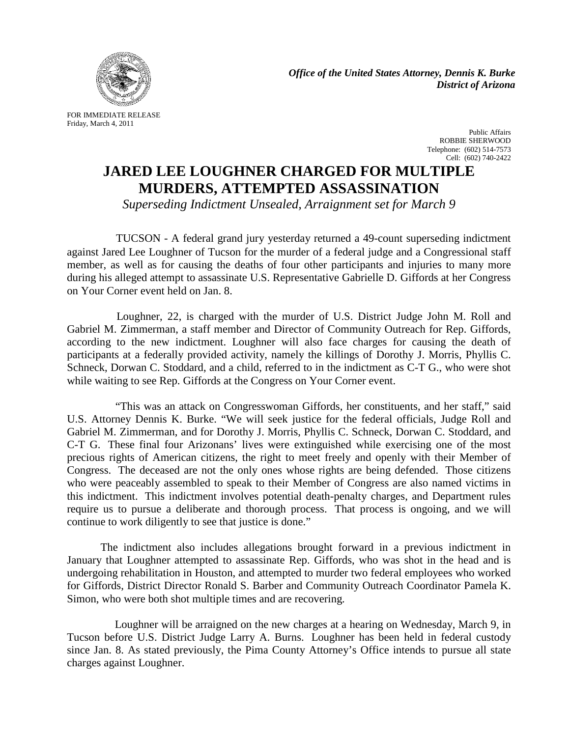

*Office of the United States Attorney, Dennis K. Burke District of Arizona*

FOR IMMEDIATE RELEASE Friday, March 4, 2011

Public Affairs ROBBIE SHERWOOD Telephone: (602) 514-7573 Cell: (602) 740-2422

## **JARED LEE LOUGHNER CHARGED FOR MULTIPLE MURDERS, ATTEMPTED ASSASSINATION**

*Superseding Indictment Unsealed, Arraignment set for March 9*

 TUCSON - A federal grand jury yesterday returned a 49-count superseding indictment against Jared Lee Loughner of Tucson for the murder of a federal judge and a Congressional staff member, as well as for causing the deaths of four other participants and injuries to many more during his alleged attempt to assassinate U.S. Representative Gabrielle D. Giffords at her Congress on Your Corner event held on Jan. 8.

 Loughner, 22, is charged with the murder of U.S. District Judge John M. Roll and Gabriel M. Zimmerman, a staff member and Director of Community Outreach for Rep. Giffords, according to the new indictment. Loughner will also face charges for causing the death of participants at a federally provided activity, namely the killings of Dorothy J. Morris, Phyllis C. Schneck, Dorwan C. Stoddard, and a child, referred to in the indictment as C-T G., who were shot while waiting to see Rep. Giffords at the Congress on Your Corner event.

 "This was an attack on Congresswoman Giffords, her constituents, and her staff," said U.S. Attorney Dennis K. Burke. "We will seek justice for the federal officials, Judge Roll and Gabriel M. Zimmerman, and for Dorothy J. Morris, Phyllis C. Schneck, Dorwan C. Stoddard, and C-T G. These final four Arizonans' lives were extinguished while exercising one of the most precious rights of American citizens, the right to meet freely and openly with their Member of Congress. The deceased are not the only ones whose rights are being defended. Those citizens who were peaceably assembled to speak to their Member of Congress are also named victims in this indictment. This indictment involves potential death-penalty charges, and Department rules require us to pursue a deliberate and thorough process. That process is ongoing, and we will continue to work diligently to see that justice is done."

The indictment also includes allegations brought forward in a previous indictment in January that Loughner attempted to assassinate Rep. Giffords, who was shot in the head and is undergoing rehabilitation in Houston, and attempted to murder two federal employees who worked for Giffords, District Director Ronald S. Barber and Community Outreach Coordinator Pamela K. Simon, who were both shot multiple times and are recovering*.*

 Loughner will be arraigned on the new charges at a hearing on Wednesday, March 9, in Tucson before U.S. District Judge Larry A. Burns. Loughner has been held in federal custody since Jan. 8. As stated previously, the Pima County Attorney's Office intends to pursue all state charges against Loughner.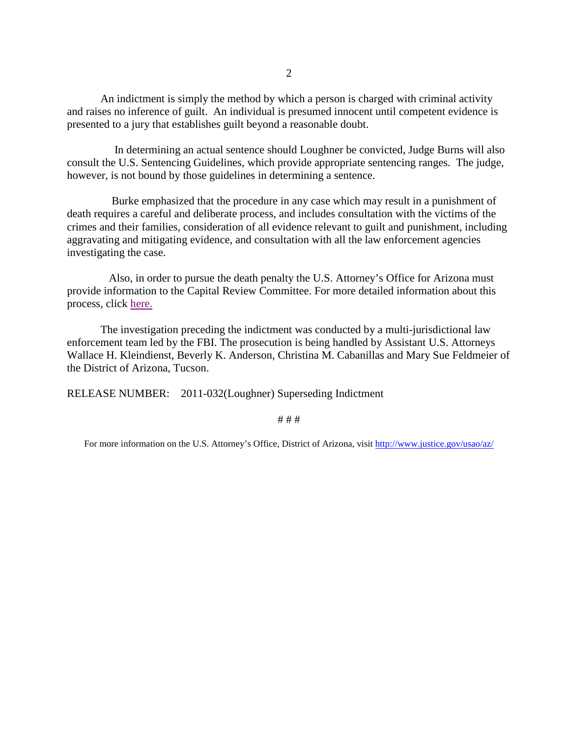An indictment is simply the method by which a person is charged with criminal activity and raises no inference of guilt. An individual is presumed innocent until competent evidence is presented to a jury that establishes guilt beyond a reasonable doubt.

 In determining an actual sentence should Loughner be convicted, Judge Burns will also consult the U.S. Sentencing Guidelines, which provide appropriate sentencing ranges. The judge, however, is not bound by those guidelines in determining a sentence.

 Burke emphasized that the procedure in any case which may result in a punishment of death requires a careful and deliberate process, and includes consultation with the victims of the crimes and their families, consideration of all evidence relevant to guilt and punishment, including aggravating and mitigating evidence, and consultation with all the law enforcement agencies investigating the case.

 Also, in order to pursue the death penalty the U.S. Attorney's Office for Arizona must provide information to the Capital Review Committee. For more detailed information about this process, click [here.](http://www.justice.gov/usao/eousa/foia_reading_room/usam/title9/10mcrm.htm)

The investigation preceding the indictment was conducted by a multi-jurisdictional law enforcement team led by the FBI. The prosecution is being handled by Assistant U.S. Attorneys Wallace H. Kleindienst, Beverly K. Anderson, Christina M. Cabanillas and Mary Sue Feldmeier of the District of Arizona, Tucson.

RELEASE NUMBER: 2011-032(Loughner) Superseding Indictment

## # # #

For more information on the U.S. Attorney's Office, District of Arizona, visit<http://www.justice.gov/usao/az/>